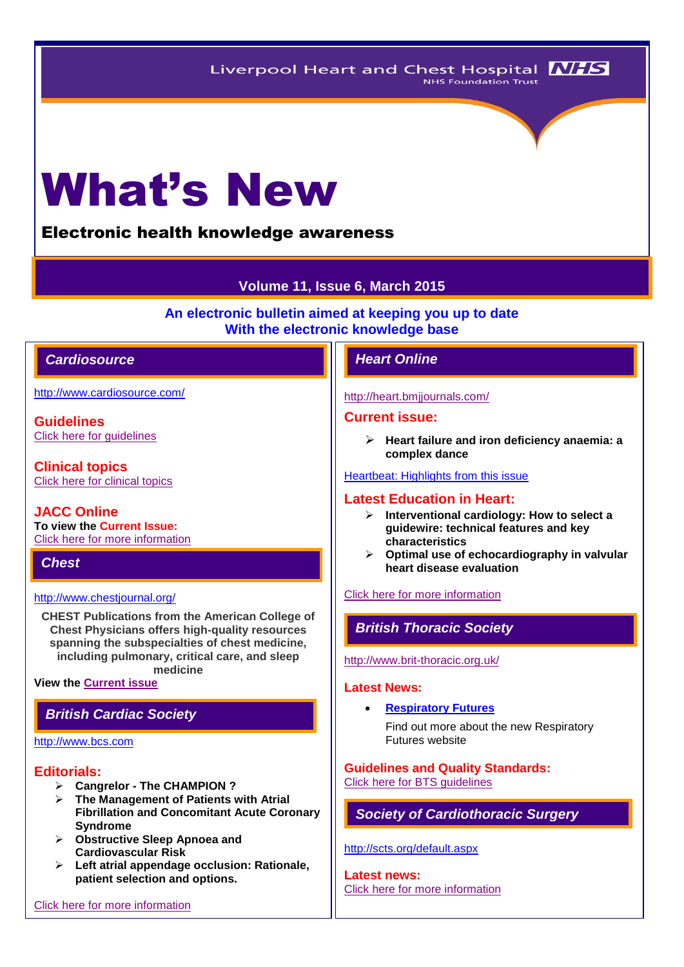# What's New

## Electronic health knowledge awareness

## **Volume 11, Issue 6, March 2015**

**An electronic bulletin aimed at keeping you up to date With the electronic knowledge base**

## *Cardiosource Heart Online*

<http://www.cardiosource.com/>

**Guidelines** [Click here for guidelines](http://www.acc.org/guidelines#sort=%40foriginalz32xpostedz32xdate86069%20descending&f:@fdocumentz32xtype86069=[Guidelines]&?/guidelines#sort=%40foriginalz32xpostedz32xdate86069%20descending&f:@fdocumentz32xtype86069=[Guidelines)

**Clinical topics** [Click here for clinical topics](http://www.acc.org/clinical-topics?w_nav=MN)

**JACC Online To view the Current Issue:** [Click here for more information](http://www.acc.org/jacc-journals)

*Chest* 

#### <http://www.chestjournal.org/>

**CHEST Publications from the American College of Chest Physicians offers high-quality resources spanning the subspecialties of chest medicine, including pulmonary, critical care, and sleep medicine**

#### **View the [Current issue](http://journal.publications.chestnet.org/issue.aspx)**

## *British Cardiac Society*

#### [http://www.bcs.com](http://www.bcs.com/)

#### **Editorials:**

- **Cangrelor - The CHAMPION ?**
- **The Management of Patients with Atrial Fibrillation and Concomitant Acute Coronary Syndrome**
- **Obstructive Sleep Apnoea and Cardiovascular Risk**
- **Left atrial appendage occlusion: Rationale, patient selection and options.**

#### <http://heart.bmjjournals.com/>

#### **Current issue:**

 **Heart failure and iron deficiency anaemia: a complex dance**

#### [Heartbeat: Highlights from this issue](http://heart.bmj.com/content/100/15/1145.extract)

## **Latest Education in Heart:**

- **Interventional cardiology: How to select a guidewire: technical features and key characteristics**
- **Optimal use of echocardiography in valvular heart disease evaluation**

#### [Click here for more information](http://heart.bmj.com/site/about/education.xhtml)

## *British Thoracic Society*

#### <http://www.brit-thoracic.org.uk/>

#### **Latest News:**

**[Respiratory Futures](http://www.respiratoryfutures.org.uk/)**

Find out more about the new Respiratory Futures website

## **Guidelines and Quality Standards:**

[Click here for BTS guidelines](https://www.brit-thoracic.org.uk/guidelines-and-quality-standards/) 

## *Society of Cardiothoracic Surgery*

#### <http://scts.org/default.aspx>

**Latest news:** [Click here for more information](http://scts.org/modules/news/)

[Click here for more information](http://www.bcs.com/editorial/editorial.asp)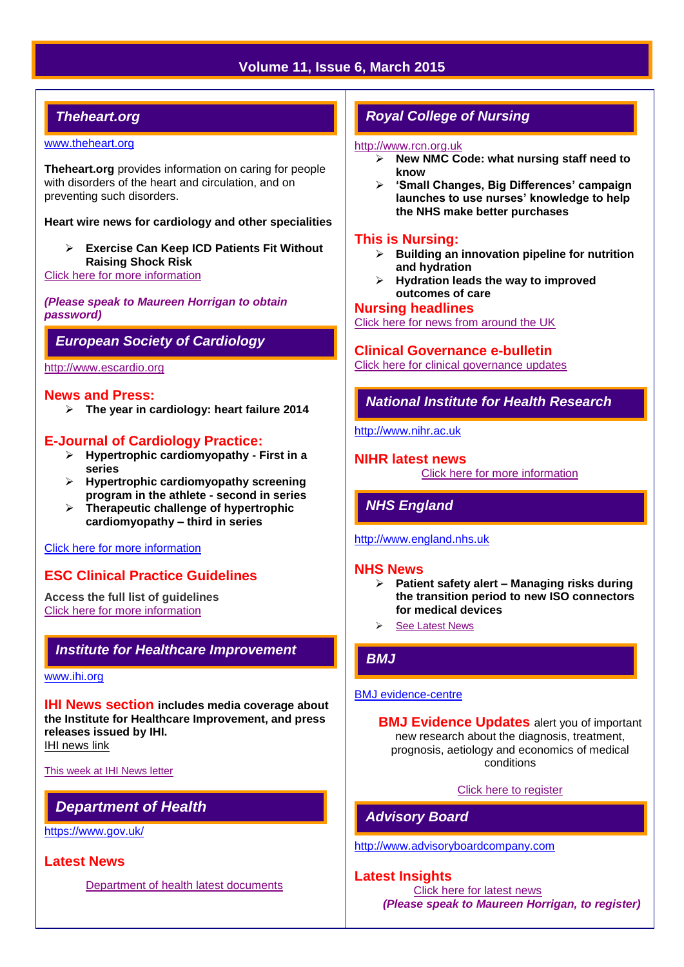## **Volume 11, Issue 6, March 2015**

## *Theheart.org*

#### [www.theheart.org](http://www.theheart.org/)

**Theheart.org** provides information on caring for people with disorders of the heart and circulation, and on preventing such disorders.

#### **Heart wire news for cardiology and other specialities**

 **Exercise Can Keep ICD Patients Fit Without Raising Shock Risk**

[Click here for more information](http://www.medscape.com/cardiology)

*(Please speak to Maureen Horrigan to obtain password)*

## *European Society of Cardiology*

[http://www.escardio.org](http://www.escardio.org/Pages/index.aspx)

### **News and Press:**

**The year in cardiology: heart failure 2014**

### **E-Journal of Cardiology Practice:**

- **Hypertrophic cardiomyopathy - First in a series**
- **Hypertrophic cardiomyopathy screening program in the athlete - second in series**
- **Therapeutic challenge of hypertrophic cardiomyopathy – third in series**

#### [Click here for more information](http://www.escardio.org/communities/councils/ccp/e-journal/Pages/welcome.aspx)

## **ESC Clinical Practice Guidelines**

**Access the full list of guidelines**  [Click here for more information](http://www.escardio.org/guidelines-surveys/esc-guidelines/Pages/GuidelinesList.aspx)

## *Institute for Healthcare Improvement*

#### [www.ihi.org](http://www.ihi.org/)

**IHI News section includes media coverage about the Institute for Healthcare Improvement, and press releases issued by IHI.** [IHI news link](http://www.ihi.org/about/news/Pages/default.aspx)

[This week at IHI News letter](http://www.ihi.org/Documents/ThisWeekatIHI.htm) 

## *Department of Health*

<https://www.gov.uk/>

#### **Latest News**

[Department of health latest documents](https://www.gov.uk/government/latest?departments%5B%5D=department-of-health)

## *Royal College of Nursing*

#### [http://www.rcn.org.uk](http://www.rcn.org.uk/)

- **New NMC Code: what nursing staff need to know**
- **'Small Changes, Big Differences' campaign launches to use nurses' knowledge to help the NHS make better purchases**

#### **This is Nursing:**

- **Building an innovation pipeline for nutrition and hydration**
- **Hydration leads the way to improved outcomes of care**

#### **Nursing headlines**

[Click here for news from around the UK](http://www.rcn.org.uk/newsevents/news)

#### **Clinical Governance e-bulletin**

[Click here for clinical governance updates](http://www.rcn.org.uk/development/practice/clinical_governance/quality_and_safety_e-bulletin/e-bulletin_archive)

## *National Institute for Health Research*

[http://www.nihr.ac.uk](http://www.nihr.ac.uk/)

### **NIHR latest news**

[Click here for more information](http://www.nihr.ac.uk/news/Pages/default.aspx)

## *NHS England*

#### [http://www.england.nhs.uk](http://www.england.nhs.uk/)

#### **NHS News**

- **Patient safety alert – Managing risks during the transition period to new ISO connectors for medical devices**
- [See Latest News](http://www.england.nhs.uk/news/)

## *BMJ*

#### [BMJ evidence-centre](http://plus.mcmaster.ca/EvidenceUpdates/Default.aspx)

**BMJ Evidence Updates** alert you of important new research about the diagnosis, treatment, prognosis, aetiology and economics of medical conditions

#### [Click here to register](http://plus.mcmaster.ca/EvidenceUpdates/Registration.aspx)

*Advisory Board*

#### [http://www.advisoryboardcompany.com](http://www.advisoryboardcompany.com/)

**Latest Insights** [Click here for latest news](http://www.advisory.com/International)

*(Please speak to Maureen Horrigan, to register)*